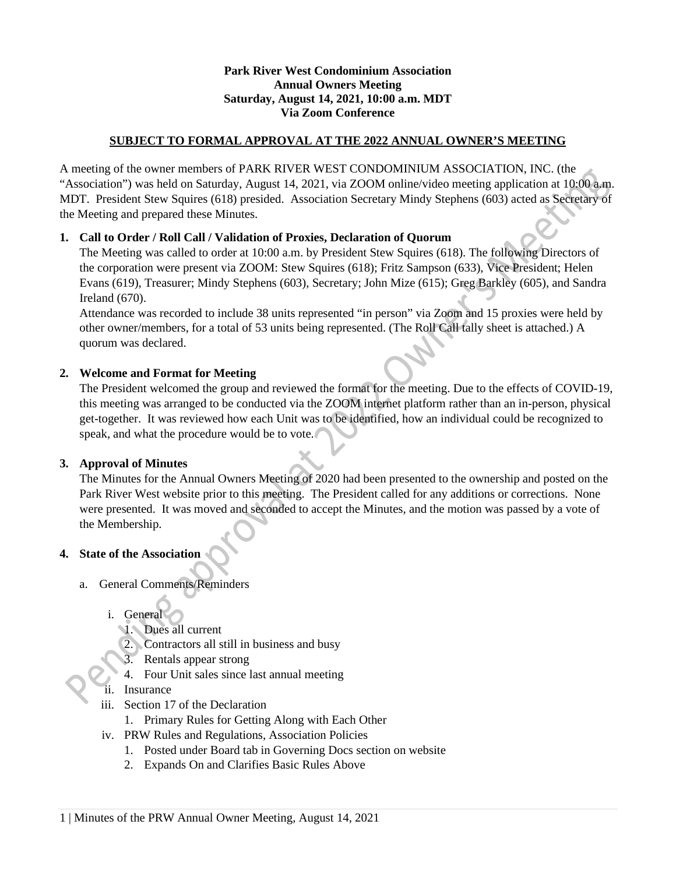## **Park River West Condominium Association Annual Owners Meeting Saturday, August 14, 2021, 10:00 a.m. MDT Via Zoom Conference**

## **SUBJECT TO FORMAL APPROVAL AT THE 2022 ANNUAL OWNER'S MEETING**

A meeting of the owner members of PARK RIVER WEST CONDOMINIUM ASSOCIATION, INC. (the "Association") was held on Saturday, August 14, 2021, via ZOOM online/video meeting application at 10:00 a.m. MDT. President Stew Squires (618) presided. Association Secretary Mindy Stephens (603) acted as Secretary of the Meeting and prepared these Minutes.

# **1. Call to Order / Roll Call / Validation of Proxies, Declaration of Quorum**

The Meeting was called to order at 10:00 a.m. by President Stew Squires (618). The following Directors of the corporation were present via ZOOM: Stew Squires (618); Fritz Sampson (633), Vice President; Helen Evans (619), Treasurer; Mindy Stephens (603), Secretary; John Mize (615); Greg Barkley (605), and Sandra Ireland (670).

Attendance was recorded to include 38 units represented "in person" via Zoom and 15 proxies were held by other owner/members, for a total of 53 units being represented. (The Roll Call tally sheet is attached.) A quorum was declared.

# **2. Welcome and Format for Meeting**

The President welcomed the group and reviewed the format for the meeting. Due to the effects of COVID-19, this meeting was arranged to be conducted via the ZOOM internet platform rather than an in-person, physical get-together. It was reviewed how each Unit was to be identified, how an individual could be recognized to speak, and what the procedure would be to vote.

### **3. Approval of Minutes**

The Minutes for the Annual Owners Meeting of 2020 had been presented to the ownership and posted on the Park River West website prior to this meeting. The President called for any additions or corrections. None were presented. It was moved and seconded to accept the Minutes, and the motion was passed by a vote of the Membership.

### **4. State of the Association**

- a. General Comments/Reminders
	- i. General
		- 1. Dues all current
		- 2. Contractors all still in business and busy
		- 3. Rentals appear strong
		- 4. Four Unit sales since last annual meeting
	- ii. Insurance
	- iii. Section 17 of the Declaration
		- 1. Primary Rules for Getting Along with Each Other
	- iv. PRW Rules and Regulations, Association Policies
		- 1. Posted under Board tab in Governing Docs section on website
		- 2. Expands On and Clarifies Basic Rules Above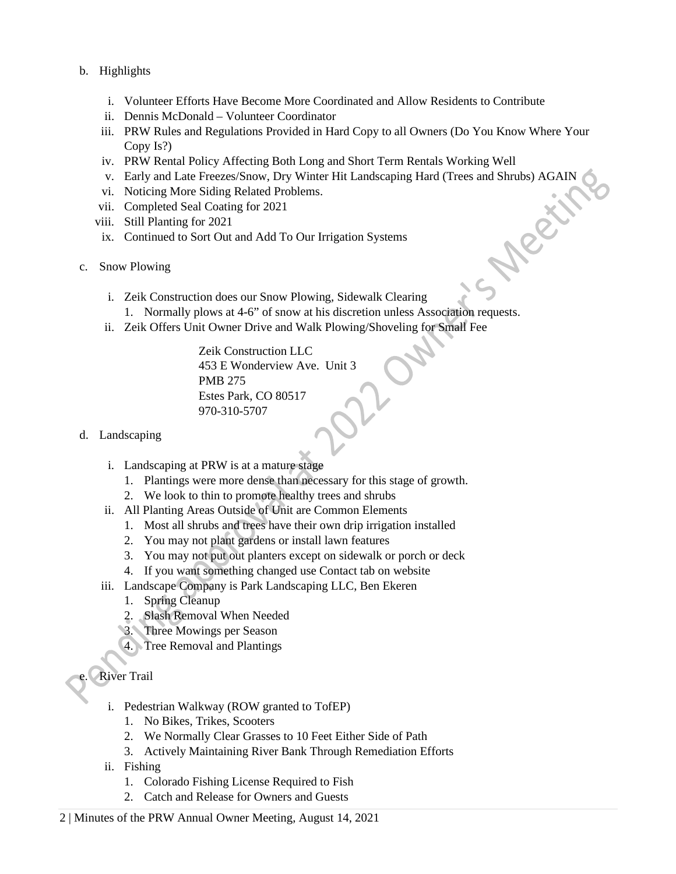- b. Highlights
	- i. Volunteer Efforts Have Become More Coordinated and Allow Residents to Contribute
	- ii. Dennis McDonald Volunteer Coordinator
	- iii. PRW Rules and Regulations Provided in Hard Copy to all Owners (Do You Know Where Your Copy Is?)
	-
	- iv. PRW Rental Policy Affecting Both Long and Short Term Rentals Working Well<br>v. Early and Late Freezes/Snow, Dry Winter Hit Landscaping Hard (Trees and Shrubs) AGAIN<br>vi. Noticing More Siding Related Problems.<br>iii. Complet v. Early and Late Freezes/Snow, Dry Winter Hit Landscaping Hard (Trees and Shrubs) AGAIN
	- vi. Noticing More Siding Related Problems.
	- vii. Completed Seal Coating for 2021
	- viii. Still Planting for 2021
	- ix. Continued to Sort Out and Add To Our Irrigation Systems
- c. Snow Plowing
	- i. Zeik Construction does our Snow Plowing, Sidewalk Clearing
		- 1. Normally plows at 4-6" of snow at his discretion unless Association requests.
	- ii. Zeik Offers Unit Owner Drive and Walk Plowing/Shoveling for Small Fee

Zeik Construction LLC 453 E Wonderview Ave. Unit 3 PMB 275 Estes Park, CO 80517 970-310-5707

- d. Landscaping
	- i. Landscaping at PRW is at a mature stage
		- 1. Plantings were more dense than necessary for this stage of growth.
		- 2. We look to thin to promote healthy trees and shrubs
	- ii. All Planting Areas Outside of Unit are Common Elements
		- 1. Most all shrubs and trees have their own drip irrigation installed
		- 2. You may not plant gardens or install lawn features
		- 3. You may not put out planters except on sidewalk or porch or deck
		- 4. If you want something changed use Contact tab on website
	- iii. Landscape Company is Park Landscaping LLC, Ben Ekeren
		- 1. Spring Cleanup
		- 2. Slash Removal When Needed
		- 3. Three Mowings per Season
		- 4. Tree Removal and Plantings

# **River Trail**

- i. Pedestrian Walkway (ROW granted to TofEP)
	- 1. No Bikes, Trikes, Scooters
	- 2. We Normally Clear Grasses to 10 Feet Either Side of Path
	- 3. Actively Maintaining River Bank Through Remediation Efforts
- ii. Fishing
	- 1. Colorado Fishing License Required to Fish
	- 2. Catch and Release for Owners and Guests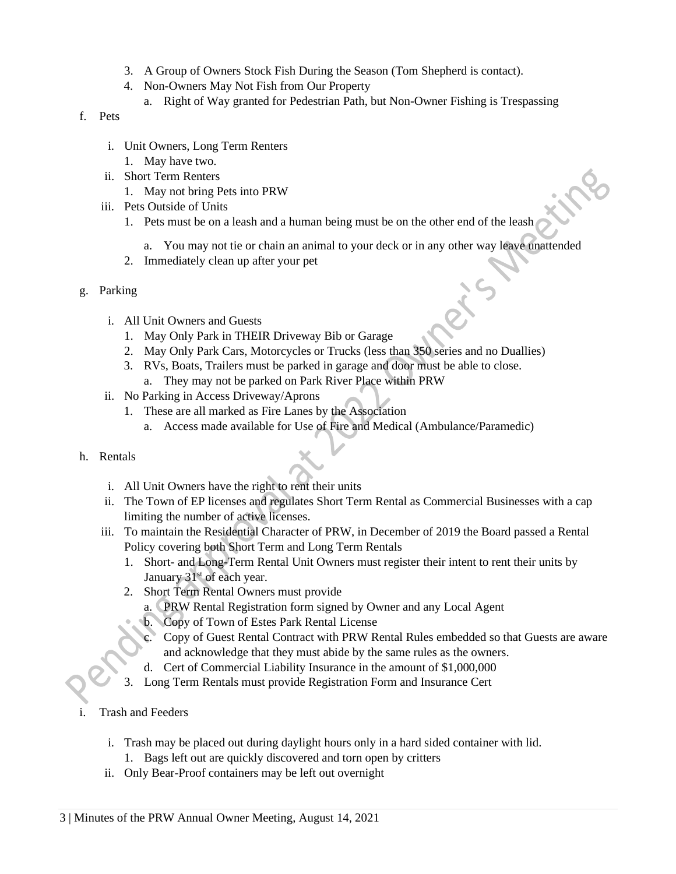- 3. A Group of Owners Stock Fish During the Season (Tom Shepherd is contact).
- 4. Non-Owners May Not Fish from Our Property
	- a. Right of Way granted for Pedestrian Path, but Non-Owner Fishing is Trespassing
- f. Pets
	- i. Unit Owners, Long Term Renters
	- 1. May have two. ii. Short Term Renters
		- 1. May not bring Pets into PRW
	- iii. Pets Outside of Units
		- 1. Pets must be on a leash and a human being must be on the other end of the leash
			- a. You may not tie or chain an animal to your deck or in any other way leave unattended
		- 2. Immediately clean up after your pet
- g. Parking
	- i. All Unit Owners and Guests
		- 1. May Only Park in THEIR Driveway Bib or Garage
		- 2. May Only Park Cars, Motorcycles or Trucks (less than 350 series and no Duallies)
		- 3. RVs, Boats, Trailers must be parked in garage and door must be able to close. a. They may not be parked on Park River Place within PRW
	- ii. No Parking in Access Driveway/Aprons
		- 1. These are all marked as Fire Lanes by the Association
			- a. Access made available for Use of Fire and Medical (Ambulance/Paramedic)
- h. Rentals
	- i. All Unit Owners have the right to rent their units
	- ii. The Town of EP licenses and regulates Short Term Rental as Commercial Businesses with a cap limiting the number of active licenses.
	- iii. To maintain the Residential Character of PRW, in December of 2019 the Board passed a Rental Policy covering both Short Term and Long Term Rentals
		- 1. Short- and Long-Term Rental Unit Owners must register their intent to rent their units by January 31<sup>st</sup> of each year.
		- 2. Short Term Rental Owners must provide
			- a. PRW Rental Registration form signed by Owner and any Local Agent
			- b. Copy of Town of Estes Park Rental License
			- c. Copy of Guest Rental Contract with PRW Rental Rules embedded so that Guests are aware and acknowledge that they must abide by the same rules as the owners.
			- d. Cert of Commercial Liability Insurance in the amount of \$1,000,000
		- 3. Long Term Rentals must provide Registration Form and Insurance Cert
- Trash and Feeders
	- i. Trash may be placed out during daylight hours only in a hard sided container with lid.
		- 1. Bags left out are quickly discovered and torn open by critters
	- ii. Only Bear-Proof containers may be left out overnight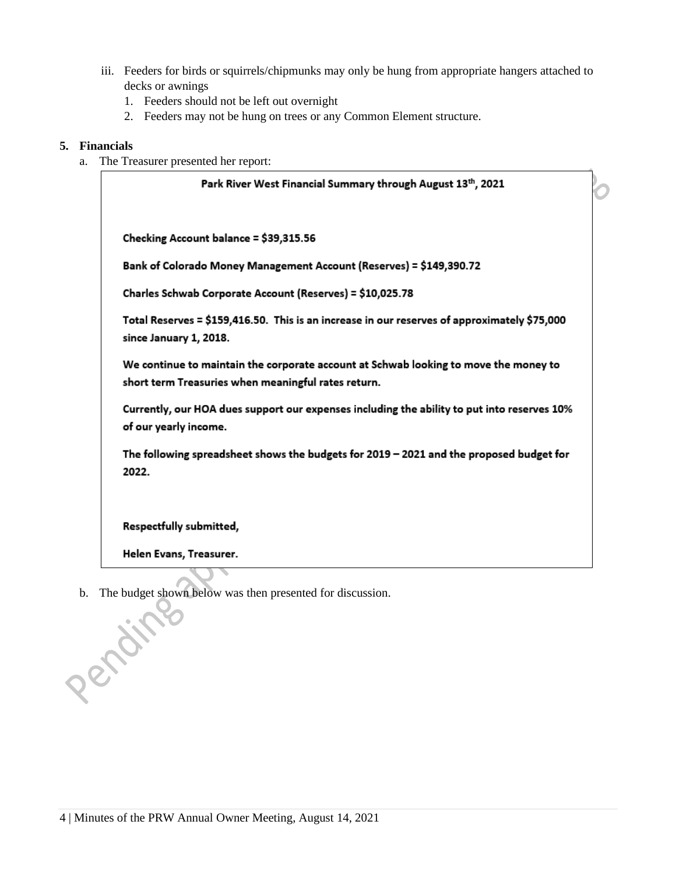- iii. Feeders for birds or squirrels/chipmunks may only be hung from appropriate hangers attached to decks or awnings
	- 1. Feeders should not be left out overnight
	- 2. Feeders may not be hung on trees or any Common Element structure.

## **5. Financials**

a. The Treasurer presented her report:

Park River West Financial Summary through August 13th, 2021 Checking Account balance = \$39,315.56 Bank of Colorado Money Management Account (Reserves) = \$149,390.72 Charles Schwab Corporate Account (Reserves) = \$10,025.78 Total Reserves = \$159,416.50. This is an increase in our reserves of approximately \$75,000 since January 1, 2018. We continue to maintain the corporate account at Schwab looking to move the money to short term Treasuries when meaningful rates return. Currently, our HOA dues support our expenses including the ability to put into reserves 10% of our yearly income. The following spreadsheet shows the budgets for 2019 - 2021 and the proposed budget for 2022. Respectfully submitted,

Helen Evans, Treasurer.

Pending

b. The budget shown below was then presented for discussion.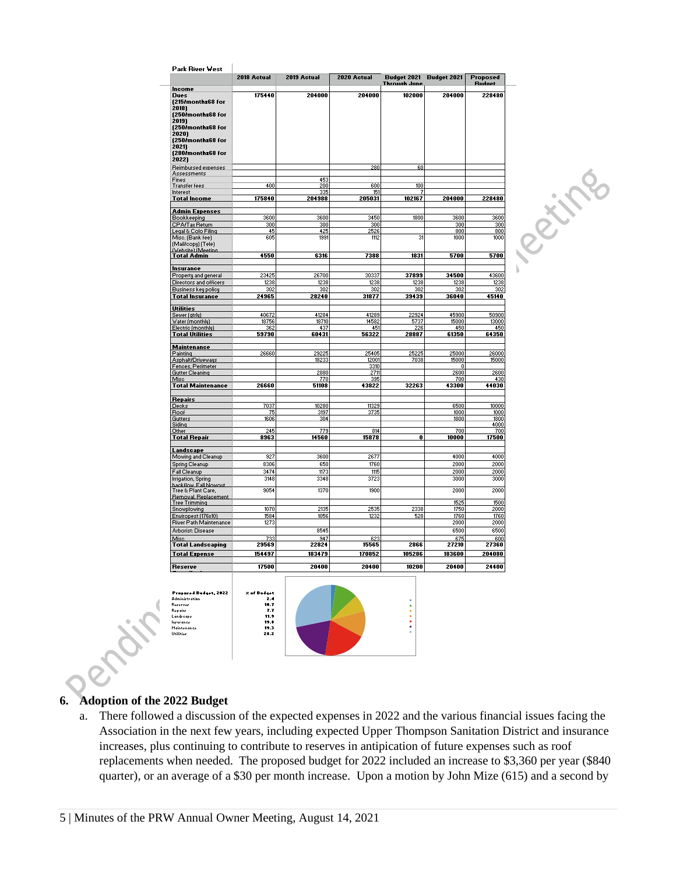| 2018 Actual<br>175440<br>400<br>175840<br>3600<br>300<br>45<br>605<br>4550<br>23425<br>1238 | 2019 Actual<br>204000<br>453<br><b>200</b><br>335<br>204988<br>3600<br>300<br>425<br>1991<br>6316                                                          | 2020 Actual<br>204000<br>280<br>600<br>151<br>205031<br>3450<br>300<br>2526<br>1112<br>7388                                                       | Budget 2021<br>Through June<br>102000<br>60<br>100<br>7<br>102167<br>1800<br>31                                                                    | <b>Budget 2021</b><br>204000<br>204000<br>3600<br>300<br>800             | Proposed<br><b>Rudnet</b><br>228480<br>228480<br>3600                                                                                                          |
|---------------------------------------------------------------------------------------------|------------------------------------------------------------------------------------------------------------------------------------------------------------|---------------------------------------------------------------------------------------------------------------------------------------------------|----------------------------------------------------------------------------------------------------------------------------------------------------|--------------------------------------------------------------------------|----------------------------------------------------------------------------------------------------------------------------------------------------------------|
|                                                                                             |                                                                                                                                                            |                                                                                                                                                   |                                                                                                                                                    |                                                                          |                                                                                                                                                                |
|                                                                                             |                                                                                                                                                            |                                                                                                                                                   |                                                                                                                                                    |                                                                          |                                                                                                                                                                |
|                                                                                             |                                                                                                                                                            |                                                                                                                                                   |                                                                                                                                                    |                                                                          |                                                                                                                                                                |
|                                                                                             |                                                                                                                                                            |                                                                                                                                                   |                                                                                                                                                    |                                                                          |                                                                                                                                                                |
|                                                                                             |                                                                                                                                                            |                                                                                                                                                   |                                                                                                                                                    |                                                                          |                                                                                                                                                                |
|                                                                                             |                                                                                                                                                            |                                                                                                                                                   |                                                                                                                                                    |                                                                          |                                                                                                                                                                |
|                                                                                             |                                                                                                                                                            |                                                                                                                                                   |                                                                                                                                                    |                                                                          |                                                                                                                                                                |
|                                                                                             |                                                                                                                                                            |                                                                                                                                                   |                                                                                                                                                    |                                                                          |                                                                                                                                                                |
|                                                                                             |                                                                                                                                                            |                                                                                                                                                   |                                                                                                                                                    |                                                                          |                                                                                                                                                                |
|                                                                                             |                                                                                                                                                            |                                                                                                                                                   |                                                                                                                                                    |                                                                          |                                                                                                                                                                |
|                                                                                             |                                                                                                                                                            |                                                                                                                                                   |                                                                                                                                                    |                                                                          |                                                                                                                                                                |
|                                                                                             |                                                                                                                                                            |                                                                                                                                                   |                                                                                                                                                    |                                                                          |                                                                                                                                                                |
|                                                                                             |                                                                                                                                                            |                                                                                                                                                   |                                                                                                                                                    |                                                                          |                                                                                                                                                                |
|                                                                                             |                                                                                                                                                            |                                                                                                                                                   |                                                                                                                                                    |                                                                          |                                                                                                                                                                |
|                                                                                             |                                                                                                                                                            |                                                                                                                                                   |                                                                                                                                                    |                                                                          |                                                                                                                                                                |
|                                                                                             |                                                                                                                                                            |                                                                                                                                                   |                                                                                                                                                    |                                                                          |                                                                                                                                                                |
|                                                                                             |                                                                                                                                                            |                                                                                                                                                   |                                                                                                                                                    |                                                                          |                                                                                                                                                                |
|                                                                                             |                                                                                                                                                            |                                                                                                                                                   |                                                                                                                                                    |                                                                          |                                                                                                                                                                |
|                                                                                             |                                                                                                                                                            |                                                                                                                                                   |                                                                                                                                                    |                                                                          |                                                                                                                                                                |
|                                                                                             |                                                                                                                                                            |                                                                                                                                                   |                                                                                                                                                    |                                                                          |                                                                                                                                                                |
|                                                                                             |                                                                                                                                                            |                                                                                                                                                   |                                                                                                                                                    |                                                                          |                                                                                                                                                                |
|                                                                                             |                                                                                                                                                            |                                                                                                                                                   |                                                                                                                                                    |                                                                          |                                                                                                                                                                |
|                                                                                             |                                                                                                                                                            |                                                                                                                                                   |                                                                                                                                                    |                                                                          | 300                                                                                                                                                            |
|                                                                                             |                                                                                                                                                            |                                                                                                                                                   |                                                                                                                                                    |                                                                          | 800                                                                                                                                                            |
|                                                                                             |                                                                                                                                                            |                                                                                                                                                   |                                                                                                                                                    | 1000                                                                     | 1000                                                                                                                                                           |
|                                                                                             |                                                                                                                                                            |                                                                                                                                                   |                                                                                                                                                    |                                                                          |                                                                                                                                                                |
|                                                                                             |                                                                                                                                                            |                                                                                                                                                   |                                                                                                                                                    |                                                                          |                                                                                                                                                                |
|                                                                                             |                                                                                                                                                            |                                                                                                                                                   | 1831                                                                                                                                               | 5700                                                                     | 5700                                                                                                                                                           |
|                                                                                             |                                                                                                                                                            |                                                                                                                                                   |                                                                                                                                                    |                                                                          |                                                                                                                                                                |
|                                                                                             |                                                                                                                                                            |                                                                                                                                                   |                                                                                                                                                    |                                                                          |                                                                                                                                                                |
|                                                                                             | 26700                                                                                                                                                      | 30337                                                                                                                                             | 37899                                                                                                                                              | 34500                                                                    | 43600                                                                                                                                                          |
|                                                                                             | 1238                                                                                                                                                       | 1238                                                                                                                                              | 1238                                                                                                                                               | 1238                                                                     | 1238                                                                                                                                                           |
|                                                                                             | 302                                                                                                                                                        | 302                                                                                                                                               | 302                                                                                                                                                | 302                                                                      | 302                                                                                                                                                            |
| 302                                                                                         |                                                                                                                                                            | 31877                                                                                                                                             |                                                                                                                                                    |                                                                          |                                                                                                                                                                |
| 24965                                                                                       | 28240                                                                                                                                                      |                                                                                                                                                   | 39439                                                                                                                                              | 36040                                                                    | 45140                                                                                                                                                          |
|                                                                                             |                                                                                                                                                            |                                                                                                                                                   |                                                                                                                                                    |                                                                          |                                                                                                                                                                |
|                                                                                             |                                                                                                                                                            |                                                                                                                                                   |                                                                                                                                                    |                                                                          |                                                                                                                                                                |
| 40672                                                                                       | 41284                                                                                                                                                      | 41289                                                                                                                                             | 22924                                                                                                                                              | 45900                                                                    | 50900                                                                                                                                                          |
| 18756                                                                                       | 18710                                                                                                                                                      | 14582                                                                                                                                             | 5737                                                                                                                                               | 15000                                                                    | 13000                                                                                                                                                          |
|                                                                                             |                                                                                                                                                            |                                                                                                                                                   |                                                                                                                                                    |                                                                          | 450                                                                                                                                                            |
|                                                                                             |                                                                                                                                                            |                                                                                                                                                   |                                                                                                                                                    |                                                                          | 64350                                                                                                                                                          |
|                                                                                             |                                                                                                                                                            |                                                                                                                                                   |                                                                                                                                                    |                                                                          |                                                                                                                                                                |
|                                                                                             |                                                                                                                                                            |                                                                                                                                                   |                                                                                                                                                    |                                                                          |                                                                                                                                                                |
|                                                                                             |                                                                                                                                                            |                                                                                                                                                   |                                                                                                                                                    |                                                                          | 26000                                                                                                                                                          |
|                                                                                             |                                                                                                                                                            |                                                                                                                                                   |                                                                                                                                                    |                                                                          | 15000                                                                                                                                                          |
|                                                                                             |                                                                                                                                                            |                                                                                                                                                   |                                                                                                                                                    |                                                                          |                                                                                                                                                                |
|                                                                                             |                                                                                                                                                            |                                                                                                                                                   |                                                                                                                                                    |                                                                          | 2600                                                                                                                                                           |
|                                                                                             |                                                                                                                                                            |                                                                                                                                                   |                                                                                                                                                    |                                                                          | 430                                                                                                                                                            |
|                                                                                             |                                                                                                                                                            |                                                                                                                                                   |                                                                                                                                                    |                                                                          | 44030                                                                                                                                                          |
|                                                                                             |                                                                                                                                                            |                                                                                                                                                   |                                                                                                                                                    |                                                                          |                                                                                                                                                                |
|                                                                                             |                                                                                                                                                            |                                                                                                                                                   |                                                                                                                                                    |                                                                          |                                                                                                                                                                |
|                                                                                             |                                                                                                                                                            |                                                                                                                                                   |                                                                                                                                                    |                                                                          | 10000                                                                                                                                                          |
|                                                                                             |                                                                                                                                                            |                                                                                                                                                   |                                                                                                                                                    | 1000                                                                     | 1000                                                                                                                                                           |
| 1606                                                                                        | 304                                                                                                                                                        |                                                                                                                                                   |                                                                                                                                                    | 1800                                                                     | 1800                                                                                                                                                           |
|                                                                                             |                                                                                                                                                            |                                                                                                                                                   |                                                                                                                                                    |                                                                          | 4000                                                                                                                                                           |
|                                                                                             | 779                                                                                                                                                        | 814                                                                                                                                               |                                                                                                                                                    | 700                                                                      | 700                                                                                                                                                            |
| 8963                                                                                        | 14560                                                                                                                                                      | 15878                                                                                                                                             | 0                                                                                                                                                  | 10000                                                                    | 17500                                                                                                                                                          |
|                                                                                             |                                                                                                                                                            |                                                                                                                                                   |                                                                                                                                                    |                                                                          |                                                                                                                                                                |
|                                                                                             |                                                                                                                                                            |                                                                                                                                                   |                                                                                                                                                    |                                                                          |                                                                                                                                                                |
| 927                                                                                         | 3600                                                                                                                                                       | 2677                                                                                                                                              |                                                                                                                                                    | 4000                                                                     | 4000                                                                                                                                                           |
|                                                                                             |                                                                                                                                                            |                                                                                                                                                   |                                                                                                                                                    |                                                                          | 2000                                                                                                                                                           |
|                                                                                             |                                                                                                                                                            |                                                                                                                                                   |                                                                                                                                                    |                                                                          | 2000                                                                                                                                                           |
|                                                                                             |                                                                                                                                                            |                                                                                                                                                   |                                                                                                                                                    |                                                                          |                                                                                                                                                                |
|                                                                                             |                                                                                                                                                            |                                                                                                                                                   |                                                                                                                                                    |                                                                          | 3000                                                                                                                                                           |
|                                                                                             |                                                                                                                                                            |                                                                                                                                                   |                                                                                                                                                    |                                                                          | 2000                                                                                                                                                           |
|                                                                                             |                                                                                                                                                            |                                                                                                                                                   |                                                                                                                                                    |                                                                          |                                                                                                                                                                |
|                                                                                             |                                                                                                                                                            |                                                                                                                                                   |                                                                                                                                                    |                                                                          | 1500                                                                                                                                                           |
|                                                                                             |                                                                                                                                                            |                                                                                                                                                   |                                                                                                                                                    |                                                                          | 2000                                                                                                                                                           |
|                                                                                             |                                                                                                                                                            |                                                                                                                                                   |                                                                                                                                                    |                                                                          | 1760                                                                                                                                                           |
|                                                                                             |                                                                                                                                                            |                                                                                                                                                   |                                                                                                                                                    |                                                                          | 2000                                                                                                                                                           |
|                                                                                             |                                                                                                                                                            |                                                                                                                                                   |                                                                                                                                                    |                                                                          |                                                                                                                                                                |
|                                                                                             |                                                                                                                                                            |                                                                                                                                                   |                                                                                                                                                    |                                                                          | 6500                                                                                                                                                           |
| 733                                                                                         | 947                                                                                                                                                        | 623                                                                                                                                               |                                                                                                                                                    | 675                                                                      | 600                                                                                                                                                            |
| 29569                                                                                       | 22824                                                                                                                                                      | 15565                                                                                                                                             | 2866                                                                                                                                               | 27210                                                                    | 27360                                                                                                                                                          |
|                                                                                             |                                                                                                                                                            |                                                                                                                                                   |                                                                                                                                                    |                                                                          | 204080                                                                                                                                                         |
|                                                                                             |                                                                                                                                                            |                                                                                                                                                   |                                                                                                                                                    |                                                                          |                                                                                                                                                                |
|                                                                                             |                                                                                                                                                            |                                                                                                                                                   |                                                                                                                                                    |                                                                          | 24400                                                                                                                                                          |
|                                                                                             | 362<br>59790<br>26660<br>26660<br>7037<br>75<br>245<br>8306<br>3474<br>3148<br>9054<br>1070<br>1584<br>1273<br>154497<br>17500<br><b>Zuf Budget</b><br>2.4 | 437<br>60431<br>29225<br>18233<br>2880<br>770<br>51108<br>10280<br>3197<br>650<br>1173<br>3348<br>1370<br>2135<br>1056<br>8545<br>183479<br>20400 | 451<br>56322<br>25405<br>12001<br>3310<br>2711<br>395<br>43822<br>11329<br>3735<br>1760<br>1115<br>3723<br>1900<br>2535<br>1232<br>170852<br>20400 | 226<br>28887<br>25225<br>7038<br>32263<br>2338<br>528<br>105286<br>10200 | 450<br>61350<br>25000<br>15000<br>0<br>2600<br>700<br>43300<br>6500<br>2000<br>2000<br>3000<br>2000<br>1525<br>1750<br>1760<br>2000<br>6500<br>183600<br>20400 |

Catholic Rd

# **6. Adoption of the 2022 Budget**

**Nyles** 

a. There followed a discussion of the expected expenses in 2022 and the various financial issues facing the Association in the next few years, including expected Upper Thompson Sanitation District and insurance increases, plus continuing to contribute to reserves in antipication of future expenses such as roof replacements when needed. The proposed budget for 2022 included an increase to \$3,360 per year (\$840 quarter), or an average of a \$30 per month increase. Upon a motion by John Mize (615) and a second by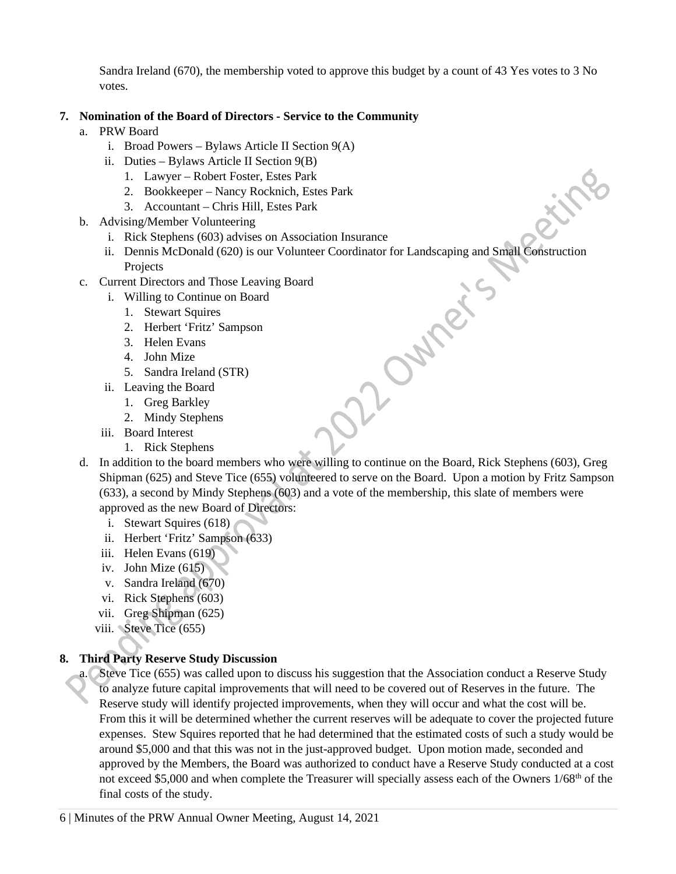Sandra Ireland (670), the membership voted to approve this budget by a count of 43 Yes votes to 3 No votes.

# **7. Nomination of the Board of Directors - Service to the Community**

- a. PRW Board
	- i. Broad Powers Bylaws Article II Section 9(A)
	- ii. Duties Bylaws Article II Section 9(B)
		- 1. Lawyer Robert Foster, Estes Park
		- 2. Bookkeeper Nancy Rocknich, Estes Park
		- 3. Accountant Chris Hill, Estes Park
- b. Advising/Member Volunteering
	- i. Rick Stephens (603) advises on Association Insurance
	- ii. Dennis McDonald (620) is our Volunteer Coordinator for Landscaping and Small Construction<br>
	Projects<br>
	Current Directors and Those Leaving Board<br>
	1. Stewart Squires<br>
	2. Herbert 'Fritz' Sampson<br>
	3. Helen Evans<br>
	4. John Mi Projects

Eitre

- c. Current Directors and Those Leaving Board
	- i. Willing to Continue on Board
		- 1. Stewart Squires
		- 2. Herbert 'Fritz' Sampson
		- 3. Helen Evans
		- 4. John Mize
		- 5. Sandra Ireland (STR)
	- ii. Leaving the Board
		- 1. Greg Barkley
		- 2. Mindy Stephens
	- iii. Board Interest
		- 1. Rick Stephens
- d. In addition to the board members who were willing to continue on the Board, Rick Stephens (603), Greg Shipman (625) and Steve Tice (655) volunteered to serve on the Board. Upon a motion by Fritz Sampson (633), a second by Mindy Stephens (603) and a vote of the membership, this slate of members were approved as the new Board of Directors:
	- i. Stewart Squires (618)
	- ii. Herbert 'Fritz' Sampson (633)
	- iii. Helen Evans (619)
	- iv. John Mize (615)
	- v. Sandra Ireland (670)
	- vi. Rick Stephens (603)
	- vii. Greg Shipman (625)
	- viii. Steve Tice (655)

# **8. Third Party Reserve Study Discussion**

a. Steve Tice (655) was called upon to discuss his suggestion that the Association conduct a Reserve Study to analyze future capital improvements that will need to be covered out of Reserves in the future. The Reserve study will identify projected improvements, when they will occur and what the cost will be. From this it will be determined whether the current reserves will be adequate to cover the projected future expenses. Stew Squires reported that he had determined that the estimated costs of such a study would be around \$5,000 and that this was not in the just-approved budget. Upon motion made, seconded and approved by the Members, the Board was authorized to conduct have a Reserve Study conducted at a cost not exceed \$5,000 and when complete the Treasurer will specially assess each of the Owners  $1/68<sup>th</sup>$  of the final costs of the study.